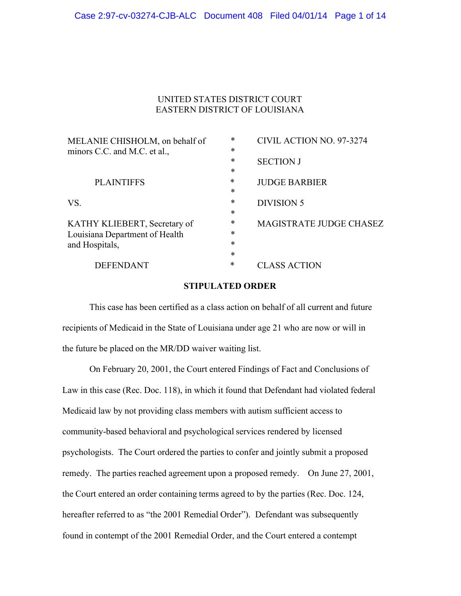## UNITED STATES DISTRICT COURT EASTERN DISTRICT OF LOUISIANA

| MELANIE CHISHOLM, on behalf of | $\ast$ | CIVIL ACTION NO. 97-3274       |
|--------------------------------|--------|--------------------------------|
| minors C.C. and M.C. et al.,   | $\ast$ |                                |
|                                | *      | <b>SECTION J</b>               |
|                                | *      |                                |
| <b>PLAINTIFFS</b>              | $\ast$ | <b>JUDGE BARBIER</b>           |
|                                | *      |                                |
| VS.                            | $\ast$ | <b>DIVISION 5</b>              |
|                                | *      |                                |
| KATHY KLIEBERT, Secretary of   | *      | <b>MAGISTRATE JUDGE CHASEZ</b> |
| Louisiana Department of Health | *      |                                |
| and Hospitals,                 | $\ast$ |                                |
|                                | $\ast$ |                                |
| <b>DEFENDANT</b>               | *      | <b>CLASS ACTION</b>            |
|                                |        |                                |

### **STIPULATED ORDER**

This case has been certified as a class action on behalf of all current and future recipients of Medicaid in the State of Louisiana under age 21 who are now or will in the future be placed on the MR/DD waiver waiting list.

On February 20, 2001, the Court entered Findings of Fact and Conclusions of Law in this case (Rec. Doc. 118), in which it found that Defendant had violated federal Medicaid law by not providing class members with autism sufficient access to community-based behavioral and psychological services rendered by licensed psychologists. The Court ordered the parties to confer and jointly submit a proposed remedy. The parties reached agreement upon a proposed remedy. On June 27, 2001, the Court entered an order containing terms agreed to by the parties (Rec. Doc. 124, hereafter referred to as "the 2001 Remedial Order"). Defendant was subsequently found in contempt of the 2001 Remedial Order, and the Court entered a contempt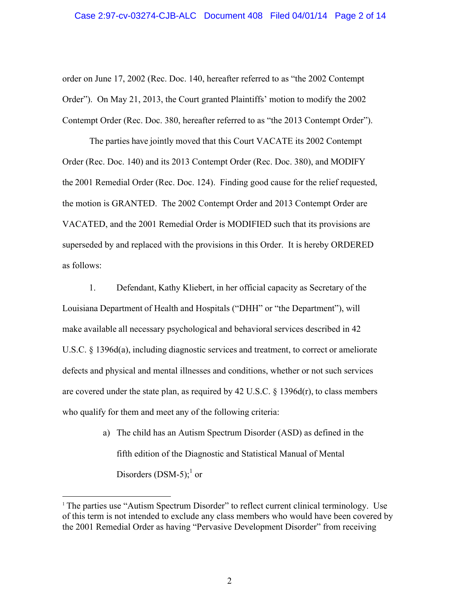# Case 2:97-cv-03274-CJB-ALC Document 408 Filed 04/01/14 Page 2 of 14

order on June 17, 2002 (Rec. Doc. 140, hereafter referred to as "the 2002 Contempt Order"). On May 21, 2013, the Court granted Plaintiffs' motion to modify the 2002 Contempt Order (Rec. Doc. 380, hereafter referred to as "the 2013 Contempt Order").

The parties have jointly moved that this Court VACATE its 2002 Contempt Order (Rec. Doc. 140) and its 2013 Contempt Order (Rec. Doc. 380), and MODIFY the 2001 Remedial Order (Rec. Doc. 124). Finding good cause for the relief requested, the motion is GRANTED. The 2002 Contempt Order and 2013 Contempt Order are VACATED, and the 2001 Remedial Order is MODIFIED such that its provisions are superseded by and replaced with the provisions in this Order. It is hereby ORDERED as follows:

1. Defendant, Kathy Kliebert, in her official capacity as Secretary of the Louisiana Department of Health and Hospitals ("DHH" or "the Department"), will make available all necessary psychological and behavioral services described in 42 U.S.C. § 1396d(a), including diagnostic services and treatment, to correct or ameliorate defects and physical and mental illnesses and conditions, whether or not such services are covered under the state plan, as required by  $42 \text{ U.S.C. }$  § 1396d(r), to class members who qualify for them and meet any of the following criteria:

> a) The child has an Autism Spectrum Disorder (ASD) as defined in the fifth edition of the Diagnostic and Statistical Manual of Mental Disorders  $(DSM-5)$ ;<sup>1</sup> or

<u> 1989 - Johann Stein, fransk politik (d. 1989)</u>

 $1$ <sup>1</sup> The parties use "Autism Spectrum Disorder" to reflect current clinical terminology. Use of this term is not intended to exclude any class members who would have been covered by the 2001 Remedial Order as having "Pervasive Development Disorder" from receiving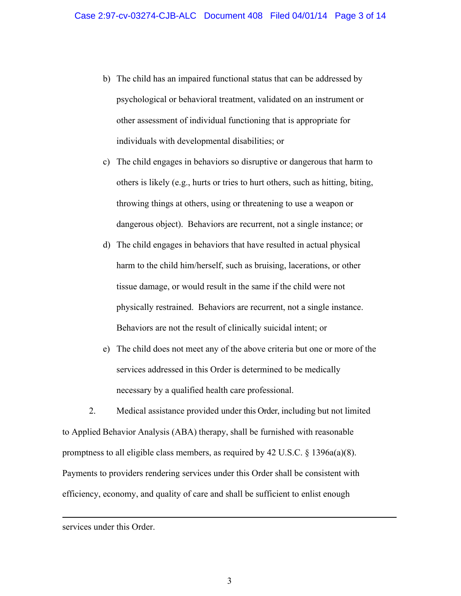- b) The child has an impaired functional status that can be addressed by psychological or behavioral treatment, validated on an instrument or other assessment of individual functioning that is appropriate for individuals with developmental disabilities; or
- c) The child engages in behaviors so disruptive or dangerous that harm to others is likely (e.g., hurts or tries to hurt others, such as hitting, biting, throwing things at others, using or threatening to use a weapon or dangerous object). Behaviors are recurrent, not a single instance; or
- d) The child engages in behaviors that have resulted in actual physical harm to the child him/herself, such as bruising, lacerations, or other tissue damage, or would result in the same if the child were not physically restrained. Behaviors are recurrent, not a single instance. Behaviors are not the result of clinically suicidal intent; or
- e) The child does not meet any of the above criteria but one or more of the services addressed in this Order is determined to be medically necessary by a qualified health care professional.

2. Medical assistance provided under this Order, including but not limited to Applied Behavior Analysis (ABA) therapy, shall be furnished with reasonable promptness to all eligible class members, as required by 42 U.S.C.  $\S$  1396a(a)(8). Payments to providers rendering services under this Order shall be consistent with efficiency, economy, and quality of care and shall be sufficient to enlist enough

<u> Andreas Andreas Andreas Andreas Andreas Andreas Andreas Andreas Andreas Andreas Andreas Andreas Andreas Andr</u>

services under this Order.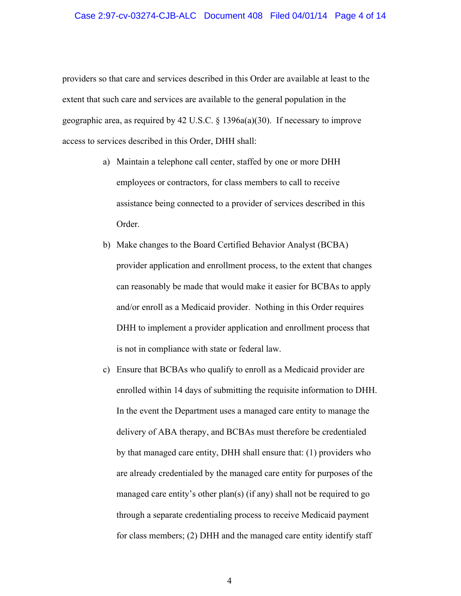#### Case 2:97-cv-03274-CJB-ALC Document 408 Filed 04/01/14 Page 4 of 14

providers so that care and services described in this Order are available at least to the extent that such care and services are available to the general population in the geographic area, as required by 42 U.S.C. § 1396a(a)(30). If necessary to improve access to services described in this Order, DHH shall:

- a) Maintain a telephone call center, staffed by one or more DHH employees or contractors, for class members to call to receive assistance being connected to a provider of services described in this Order.
- b) Make changes to the Board Certified Behavior Analyst (BCBA) provider application and enrollment process, to the extent that changes can reasonably be made that would make it easier for BCBAs to apply and/or enroll as a Medicaid provider. Nothing in this Order requires DHH to implement a provider application and enrollment process that is not in compliance with state or federal law.
- c) Ensure that BCBAs who qualify to enroll as a Medicaid provider are enrolled within 14 days of submitting the requisite information to DHH. In the event the Department uses a managed care entity to manage the delivery of ABA therapy, and BCBAs must therefore be credentialed by that managed care entity, DHH shall ensure that: (1) providers who are already credentialed by the managed care entity for purposes of the managed care entity's other plan(s) (if any) shall not be required to go through a separate credentialing process to receive Medicaid payment for class members; (2) DHH and the managed care entity identify staff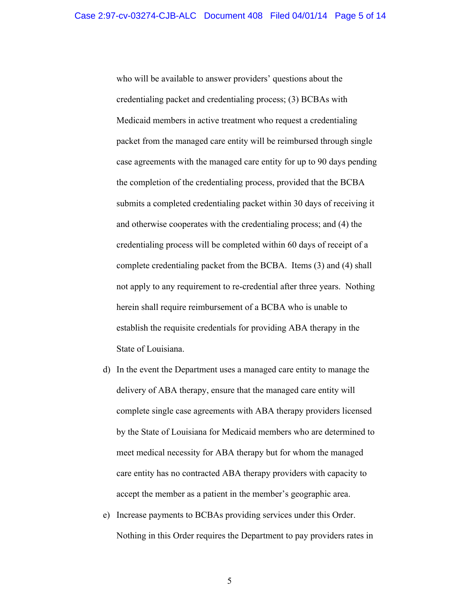who will be available to answer providers' questions about the credentialing packet and credentialing process; (3) BCBAs with Medicaid members in active treatment who request a credentialing packet from the managed care entity will be reimbursed through single case agreements with the managed care entity for up to 90 days pending the completion of the credentialing process, provided that the BCBA submits a completed credentialing packet within 30 days of receiving it and otherwise cooperates with the credentialing process; and (4) the credentialing process will be completed within 60 days of receipt of a complete credentialing packet from the BCBA. Items (3) and (4) shall not apply to any requirement to re-credential after three years. Nothing herein shall require reimbursement of a BCBA who is unable to establish the requisite credentials for providing ABA therapy in the State of Louisiana.

- d) In the event the Department uses a managed care entity to manage the delivery of ABA therapy, ensure that the managed care entity will complete single case agreements with ABA therapy providers licensed by the State of Louisiana for Medicaid members who are determined to meet medical necessity for ABA therapy but for whom the managed care entity has no contracted ABA therapy providers with capacity to accept the member as a patient in the member's geographic area.
- e) Increase payments to BCBAs providing services under this Order. Nothing in this Order requires the Department to pay providers rates in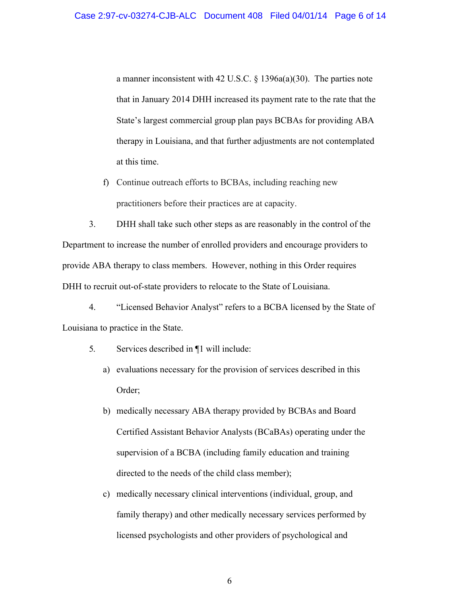a manner inconsistent with 42 U.S.C. § 1396a(a)(30). The parties note that in January 2014 DHH increased its payment rate to the rate that the State's largest commercial group plan pays BCBAs for providing ABA therapy in Louisiana, and that further adjustments are not contemplated at this time.

f) Continue outreach efforts to BCBAs, including reaching new practitioners before their practices are at capacity.

3. DHH shall take such other steps as are reasonably in the control of the Department to increase the number of enrolled providers and encourage providers to provide ABA therapy to class members. However, nothing in this Order requires DHH to recruit out-of-state providers to relocate to the State of Louisiana.

4. "Licensed Behavior Analyst" refers to a BCBA licensed by the State of Louisiana to practice in the State.

- 5. Services described in ¶1 will include:
	- a) evaluations necessary for the provision of services described in this Order;
	- b) medically necessary ABA therapy provided by BCBAs and Board Certified Assistant Behavior Analysts (BCaBAs) operating under the supervision of a BCBA (including family education and training directed to the needs of the child class member);
	- c) medically necessary clinical interventions (individual, group, and family therapy) and other medically necessary services performed by licensed psychologists and other providers of psychological and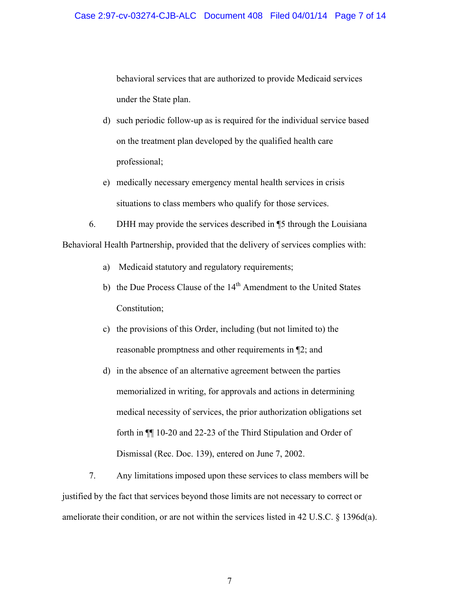behavioral services that are authorized to provide Medicaid services under the State plan.

- d) such periodic follow-up as is required for the individual service based on the treatment plan developed by the qualified health care professional;
- e) medically necessary emergency mental health services in crisis situations to class members who qualify for those services.

6. DHH may provide the services described in ¶5 through the Louisiana Behavioral Health Partnership, provided that the delivery of services complies with:

- a) Medicaid statutory and regulatory requirements;
- b) the Due Process Clause of the 14<sup>th</sup> Amendment to the United States Constitution;
- c) the provisions of this Order, including (but not limited to) the reasonable promptness and other requirements in ¶2; and
- d) in the absence of an alternative agreement between the parties memorialized in writing, for approvals and actions in determining medical necessity of services, the prior authorization obligations set forth in ¶¶ 10-20 and 22-23 of the Third Stipulation and Order of Dismissal (Rec. Doc. 139), entered on June 7, 2002.

7. Any limitations imposed upon these services to class members will be justified by the fact that services beyond those limits are not necessary to correct or ameliorate their condition, or are not within the services listed in 42 U.S.C. § 1396d(a).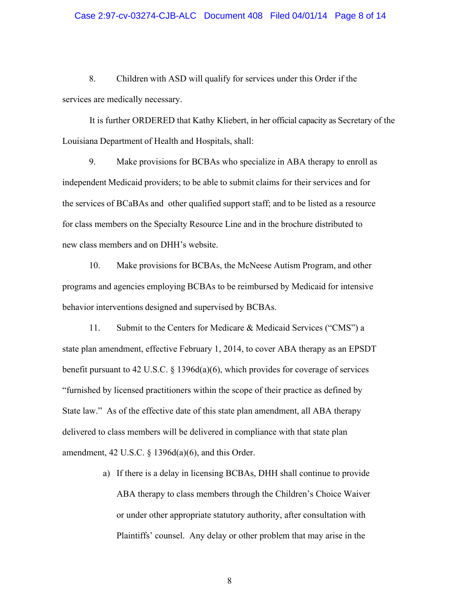#### Case 2:97-cv-03274-CJB-ALC Document 408 Filed 04/01/14 Page 8 of 14

8. Children with ASD will qualify for services under this Order if the services are medically necessary.

It is further ORDERED that Kathy Kliebert, in her official capacity as Secretary of the Louisiana Department of Health and Hospitals, shall:

9. Make provisions for BCBAs who specialize in ABA therapy to enroll as independent Medicaid providers; to be able to submit claims for their services and for the services of BCaBAs and other qualified support staff; and to be listed as a resource for class members on the Specialty Resource Line and in the brochure distributed to new class members and on DHH's website.

10. Make provisions for BCBAs, the McNeese Autism Program, and other programs and agencies employing BCBAs to be reimbursed by Medicaid for intensive behavior interventions designed and supervised by BCBAs.

11. Submit to the Centers for Medicare & Medicaid Services ("CMS") a state plan amendment, effective February 1, 2014, to cover ABA therapy as an EPSDT benefit pursuant to 42 U.S.C.  $\S$  1396d(a)(6), which provides for coverage of services "furnished by licensed practitioners within the scope of their practice as defined by State law." As of the effective date of this state plan amendment, all ABA therapy delivered to class members will be delivered in compliance with that state plan amendment, 42 U.S.C. § 1396d(a)(6), and this Order.

> a) If there is a delay in licensing BCBAs, DHH shall continue to provide ABA therapy to class members through the Children's Choice Waiver or under other appropriate statutory authority, after consultation with Plaintiffs' counsel. Any delay or other problem that may arise in the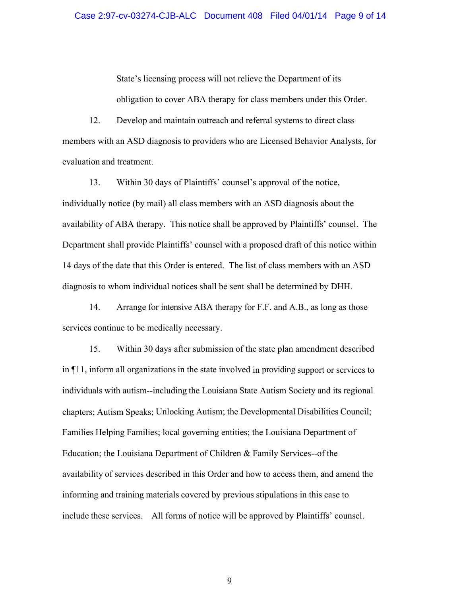State's licensing process will not relieve the Department of its obligation to cover ABA therapy for class members under this Order.

12. Develop and maintain outreach and referral systems to direct class members with an ASD diagnosis to providers who are Licensed Behavior Analysts, for evaluation and treatment.

13. Within 30 days of Plaintiffs' counsel's approval of the notice, individually notice (by mail) all class members with an ASD diagnosis about the availability of ABA therapy. This notice shall be approved by Plaintiffs' counsel. The Department shall provide Plaintiffs' counsel with a proposed draft of this notice within 14 days of the date that this Order is entered. The list of class members with an ASD diagnosis to whom individual notices shall be sent shall be determined by DHH.

14. Arrange for intensive ABA therapy for F.F. and A.B., as long as those services continue to be medically necessary.

15. Within 30 days after submission of the state plan amendment described in ¶11, inform all organizations in the state involved in providing support or services to individuals with autism--including the Louisiana State Autism Society and its regional chapters; Autism Speaks; Unlocking Autism; the Developmental Disabilities Council; Families Helping Families; local governing entities; the Louisiana Department of Education; the Louisiana Department of Children & Family Services--of the availability of services described in this Order and how to access them, and amend the informing and training materials covered by previous stipulations in this case to include these services. All forms of notice will be approved by Plaintiffs' counsel.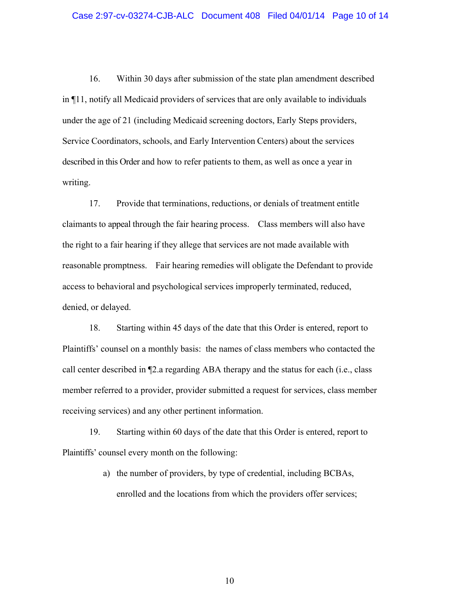#### Case 2:97-cv-03274-CJB-ALC Document 408 Filed 04/01/14 Page 10 of 14

16. Within 30 days after submission of the state plan amendment described in ¶11, notify all Medicaid providers of services that are only available to individuals under the age of 21 (including Medicaid screening doctors, Early Steps providers, Service Coordinators, schools, and Early Intervention Centers) about the services described in this Order and how to refer patients to them, as well as once a year in writing.

17. Provide that terminations, reductions, or denials of treatment entitle claimants to appeal through the fair hearing process. Class members will also have the right to a fair hearing if they allege that services are not made available with reasonable promptness. Fair hearing remedies will obligate the Defendant to provide access to behavioral and psychological services improperly terminated, reduced, denied, or delayed.

18. Starting within 45 days of the date that this Order is entered, report to Plaintiffs' counsel on a monthly basis: the names of class members who contacted the call center described in ¶2.a regarding ABA therapy and the status for each (i.e., class member referred to a provider, provider submitted a request for services, class member receiving services) and any other pertinent information.

19. Starting within 60 days of the date that this Order is entered, report to Plaintiffs' counsel every month on the following:

> a) the number of providers, by type of credential, including BCBAs, enrolled and the locations from which the providers offer services;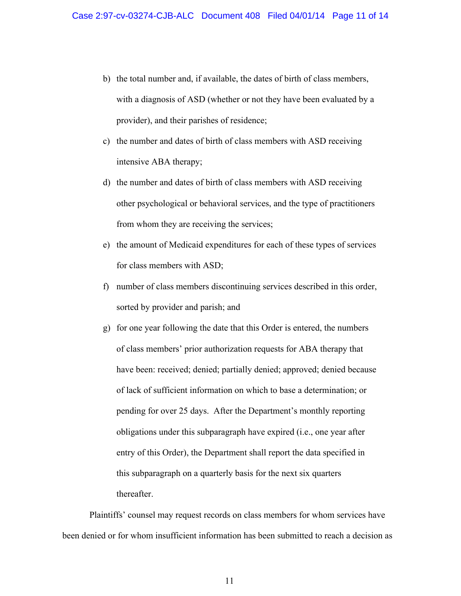- b) the total number and, if available, the dates of birth of class members, with a diagnosis of ASD (whether or not they have been evaluated by a provider), and their parishes of residence;
- c) the number and dates of birth of class members with ASD receiving intensive ABA therapy;
- d) the number and dates of birth of class members with ASD receiving other psychological or behavioral services, and the type of practitioners from whom they are receiving the services;
- e) the amount of Medicaid expenditures for each of these types of services for class members with ASD;
- f) number of class members discontinuing services described in this order, sorted by provider and parish; and
- g) for one year following the date that this Order is entered, the numbers of class members' prior authorization requests for ABA therapy that have been: received; denied; partially denied; approved; denied because of lack of sufficient information on which to base a determination; or pending for over 25 days. After the Department's monthly reporting obligations under this subparagraph have expired (i.e., one year after entry of this Order), the Department shall report the data specified in this subparagraph on a quarterly basis for the next six quarters thereafter.

Plaintiffs' counsel may request records on class members for whom services have been denied or for whom insufficient information has been submitted to reach a decision as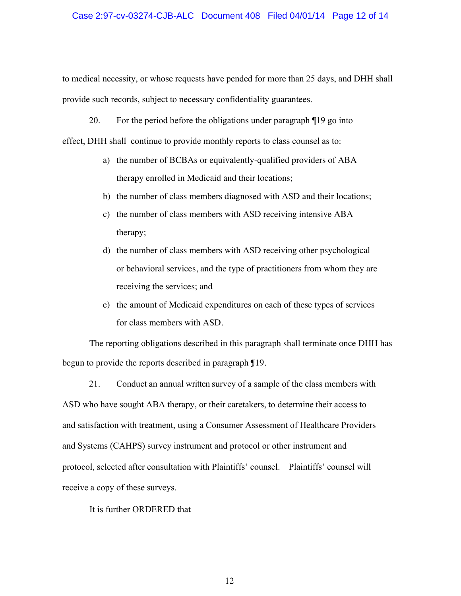#### Case 2:97-cv-03274-CJB-ALC Document 408 Filed 04/01/14 Page 12 of 14

to medical necessity, or whose requests have pended for more than 25 days, and DHH shall provide such records, subject to necessary confidentiality guarantees.

20. For the period before the obligations under paragraph ¶19 go into

effect, DHH shall continue to provide monthly reports to class counsel as to:

- a) the number of BCBAs or equivalently-qualified providers of ABA therapy enrolled in Medicaid and their locations;
- b) the number of class members diagnosed with ASD and their locations;
- c) the number of class members with ASD receiving intensive ABA therapy;
- d) the number of class members with ASD receiving other psychological or behavioral services, and the type of practitioners from whom they are receiving the services; and
- e) the amount of Medicaid expenditures on each of these types of services for class members with ASD.

The reporting obligations described in this paragraph shall terminate once DHH has begun to provide the reports described in paragraph ¶19.

21. Conduct an annual written survey of a sample of the class members with ASD who have sought ABA therapy, or their caretakers, to determine their access to and satisfaction with treatment, using a Consumer Assessment of Healthcare Providers and Systems (CAHPS) survey instrument and protocol or other instrument and protocol, selected after consultation with Plaintiffs' counsel. Plaintiffs' counsel will receive a copy of these surveys.

It is further ORDERED that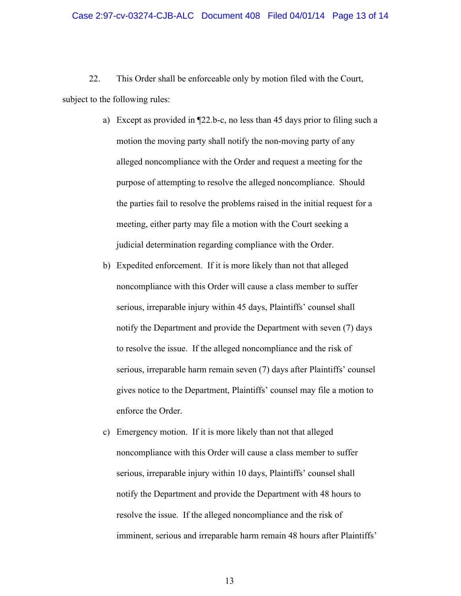22. This Order shall be enforceable only by motion filed with the Court, subject to the following rules:

- a) Except as provided in ¶22.b-c, no less than 45 days prior to filing such a motion the moving party shall notify the non-moving party of any alleged noncompliance with the Order and request a meeting for the purpose of attempting to resolve the alleged noncompliance. Should the parties fail to resolve the problems raised in the initial request for a meeting, either party may file a motion with the Court seeking a judicial determination regarding compliance with the Order.
- b) Expedited enforcement. If it is more likely than not that alleged noncompliance with this Order will cause a class member to suffer serious, irreparable injury within 45 days, Plaintiffs' counsel shall notify the Department and provide the Department with seven (7) days to resolve the issue. If the alleged noncompliance and the risk of serious, irreparable harm remain seven (7) days after Plaintiffs' counsel gives notice to the Department, Plaintiffs' counsel may file a motion to enforce the Order.
- c) Emergency motion. If it is more likely than not that alleged noncompliance with this Order will cause a class member to suffer serious, irreparable injury within 10 days, Plaintiffs' counsel shall notify the Department and provide the Department with 48 hours to resolve the issue. If the alleged noncompliance and the risk of imminent, serious and irreparable harm remain 48 hours after Plaintiffs'